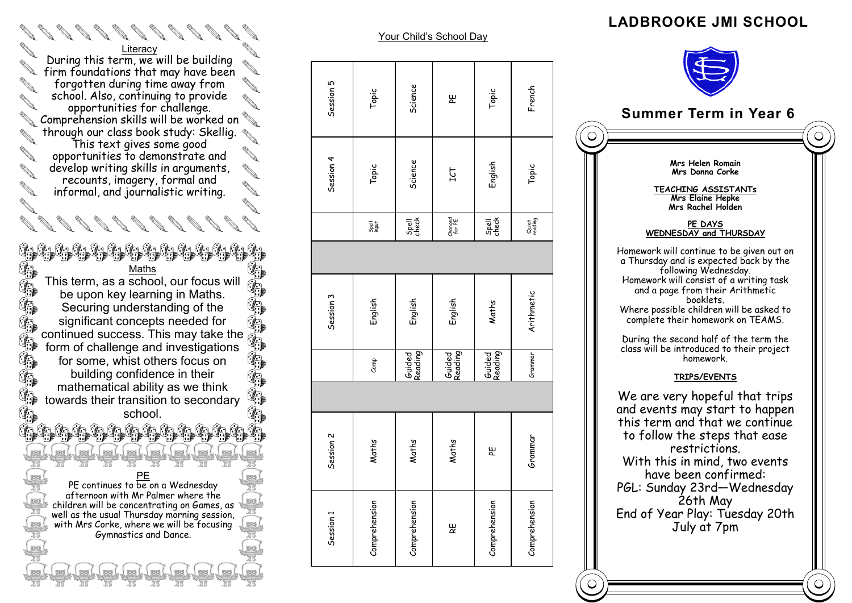#### **LADBROOKE JMI SCHOOL**



to follow the steps that ease restrictions. With this in mind, two events have been confirmed: PGL: Sunday 23rd—Wednesday 26th May End of Year Play: Tuesday 20th July at 7pm

 $\bigcirc$ 

Your Child's School Day  $\mathfrak{g}$ Session 1 Session 2 Session 3 Session 4 Session 5 Science Session! Comprehension Maths English Science Science Guided Reading Spell check Topic Comprehension Maths Comp Comp English English I spell Topic Topic Topic ௶ RE Maths Cuided English Changed ICT PE Session 4 Science Topic **F21** Thanged<br>for PE Spell<br>check Tigal<br>Papa Session 3 English English English Guided<br>Reading Guided<br>Reading  $_{\rm Comp}$  $\sim$ Maths Maths Maths Session Comprehension Comprehension Session 1 ٣ň

Comprehension PE Maths English Topic Guided Reading Spell check

Guided<br>Reading

巴

Comprehension

Maths

Comprehension Grammar Arithmetic Topic French Grammar Quiet reading

'ammar

**Srammar** 

Comprehension

 $\bigcirc$ 

Arithmetic

French

Topic

Quiet<br>reading

Topic

English

Spell<br>check

**Literacy** During this term, we will be building firm foundations that may have been forgotten during time away from school. Also, continuing to provide opportunities for challenge. Comprehension skills will be worked on through our class book study: Skellig. This text gives some good opportunities to demonstrate and develop writing skills in arguments, recounts, imagery, formal and informal, and journalistic writing.

Maths This term, as a school, our focus will be upon key learning in Maths. Securing understanding of the significant concepts needed for significant concepts needed for<br>continued success. This may take the

<u>ta ta ta ta ta ta ta ta ta ta ta</u>

 $\begin{smallmatrix} \mathscr{A} & \mathscr{A} & \mathscr{A} & \mathscr{A} & \mathscr{A} & \mathscr{A} & \mathscr{A} & \mathscr{A} & \mathscr{A} & \mathscr{A} & \mathscr{A} & \mathscr{A} & \mathscr{A} & \mathscr{A} & \mathscr{A} & \mathscr{A} & \mathscr{A} & \mathscr{A} & \mathscr{A} & \mathscr{A} & \mathscr{A} & \mathscr{A} & \mathscr{A} & \mathscr{A} & \mathscr{A} & \mathscr{A} & \mathscr{A} & \mathscr{A} & \mathscr{A} & \mathscr{A} & \mathscr{$ 

**ALL** 

中生生生

第九

 $\mathbb{G}_1$  $\mathbb{G}$  $\mathbb{Z}$ 

**Contract of the Contract of the Contract of The Contract of The Contract of The Contract of The Contract of The Contract of The Contract of The Contract of The Contract of The Contract of The Contract of The Contract of T** 

 $\mathbb{G}_{\mathbb{R}}$ 

form of challenge and investigations for some, whist others focus on building confidence in their mathematical ability as we think towards their transition to secondary school.

PE PE continues to be on a Wednesday afternoon with Mr Palmer where the children will be concentrating on Games, as well as the usual Thursday morning session, with Mrs Corke, where we will be focusing Gymnastics and Dance.

b to to to to to to to to to to

<u>Lellellellellellelle</u>